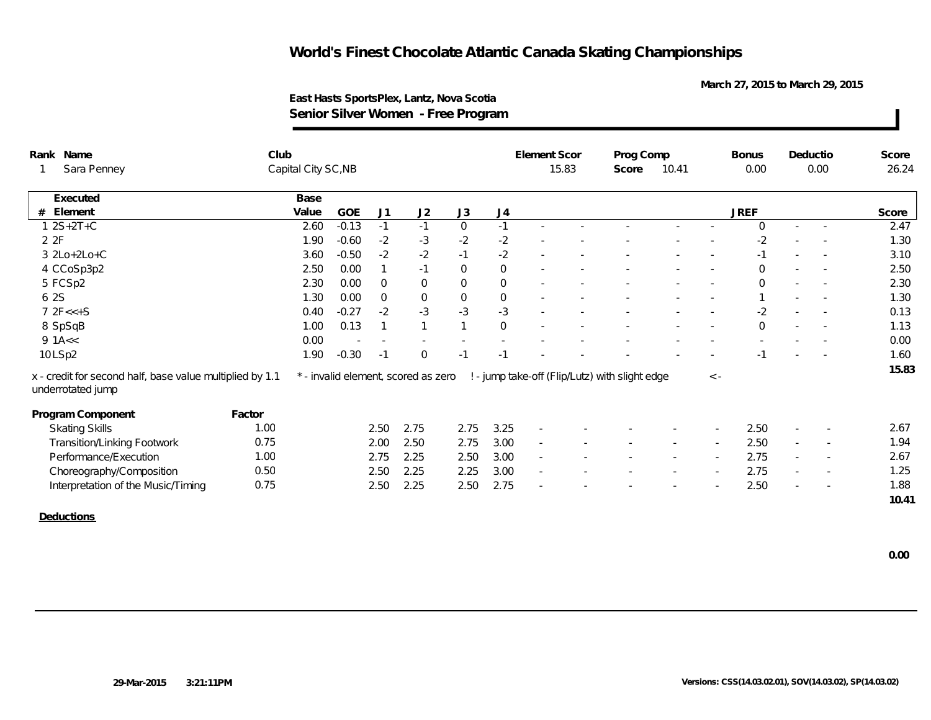**March 27, 2015 to March 29, 2015**

| 15.83<br>0.00<br>Sara Penney<br>Capital City SC, NB<br>10.41<br>0.00<br>Score<br>Base<br>Executed<br>GOE<br><b>JREF</b><br>Element<br>J2<br>J3<br>J4<br>Value<br>J1<br>#<br>$\mathbf 0$<br>$-1$<br>$1 2S+2T+C$<br>$-0.13$<br>$-1$<br>2.60<br>$-1$<br>$\Omega$<br>$\sim$<br>$\sim$<br>$-2$<br>2 2F<br>$-3$<br>$-2$<br>$-2$<br>1.90<br>$-0.60$<br>$-2$<br>$-2$<br>$-2$<br>3 2Lo+2Lo+C<br>$-0.50$<br>$-2$<br>$-1$<br>3.60<br>$-1$<br>$\overline{\phantom{a}}$<br>$\mathbf 0$<br>$\boldsymbol{0}$<br>4 CCoSp3p2<br>$-1$<br>2.50<br>0.00<br>$\Omega$<br>5 FCSp2<br>$\mathbf 0$<br>2.30<br>0.00<br>$\mathbf 0$<br>$\overline{0}$<br>$\overline{0}$<br>$\Omega$<br>$\overline{\phantom{a}}$<br>$\overline{\phantom{a}}$<br>$\mathsf{O}\xspace$<br>$\mathbf 0$<br>$\mathbf{0}$<br>6 2S<br>1.30<br>0.00<br>$\overline{0}$<br>$\sim$<br>$-3$<br>$-3$<br>$-3$<br>72F<<5<br>$-0.27$<br>$-2$<br>$-2$<br>0.40<br>$\mathbf 0$<br>8 SpSqB<br>1.00<br>0.13<br>$\mathbf{1}$<br>$\mathbf{1}$<br>$\Omega$<br>$9$ 1A $<<$<br>0.00<br>10LSp2<br>1.90<br>$-0.30$<br>$-1$<br>$\overline{0}$<br>$-1$<br>$-1$<br>$-1$<br>$\sim$<br>$\sim$<br>x - credit for second half, base value multiplied by 1.1<br>! - jump take-off (Flip/Lutz) with slight edge<br>* - invalid element, scored as zero<br>$\,<\,$ -<br>underrotated jump<br>Program Component<br>Factor<br>3.25<br>2.50<br><b>Skating Skills</b><br>1.00<br>2.50<br>2.75<br>2.75<br>$\sim$<br><b>Transition/Linking Footwork</b><br>2.50<br>3.00<br>2.50<br>0.75<br>2.00<br>2.75<br>$\overline{\phantom{a}}$<br>$\overline{\phantom{a}}$ | Rank Name             | Club |  |      |      |      |      | Element Scor | Prog Comp |        |        | <b>Bonus</b> |        | Deductio                 | Score |
|------------------------------------------------------------------------------------------------------------------------------------------------------------------------------------------------------------------------------------------------------------------------------------------------------------------------------------------------------------------------------------------------------------------------------------------------------------------------------------------------------------------------------------------------------------------------------------------------------------------------------------------------------------------------------------------------------------------------------------------------------------------------------------------------------------------------------------------------------------------------------------------------------------------------------------------------------------------------------------------------------------------------------------------------------------------------------------------------------------------------------------------------------------------------------------------------------------------------------------------------------------------------------------------------------------------------------------------------------------------------------------------------------------------------------------------------------------------------------------------------------------------------------------------------------------------------|-----------------------|------|--|------|------|------|------|--------------|-----------|--------|--------|--------------|--------|--------------------------|-------|
|                                                                                                                                                                                                                                                                                                                                                                                                                                                                                                                                                                                                                                                                                                                                                                                                                                                                                                                                                                                                                                                                                                                                                                                                                                                                                                                                                                                                                                                                                                                                                                        |                       |      |  |      |      |      |      |              |           |        |        |              |        |                          | 26.24 |
|                                                                                                                                                                                                                                                                                                                                                                                                                                                                                                                                                                                                                                                                                                                                                                                                                                                                                                                                                                                                                                                                                                                                                                                                                                                                                                                                                                                                                                                                                                                                                                        |                       |      |  |      |      |      |      |              |           |        |        |              |        |                          |       |
|                                                                                                                                                                                                                                                                                                                                                                                                                                                                                                                                                                                                                                                                                                                                                                                                                                                                                                                                                                                                                                                                                                                                                                                                                                                                                                                                                                                                                                                                                                                                                                        |                       |      |  |      |      |      |      |              |           |        |        |              |        |                          | Score |
|                                                                                                                                                                                                                                                                                                                                                                                                                                                                                                                                                                                                                                                                                                                                                                                                                                                                                                                                                                                                                                                                                                                                                                                                                                                                                                                                                                                                                                                                                                                                                                        |                       |      |  |      |      |      |      |              |           |        |        |              |        |                          | 2.47  |
|                                                                                                                                                                                                                                                                                                                                                                                                                                                                                                                                                                                                                                                                                                                                                                                                                                                                                                                                                                                                                                                                                                                                                                                                                                                                                                                                                                                                                                                                                                                                                                        |                       |      |  |      |      |      |      |              |           |        |        |              |        |                          | 1.30  |
|                                                                                                                                                                                                                                                                                                                                                                                                                                                                                                                                                                                                                                                                                                                                                                                                                                                                                                                                                                                                                                                                                                                                                                                                                                                                                                                                                                                                                                                                                                                                                                        |                       |      |  |      |      |      |      |              |           |        |        |              |        |                          | 3.10  |
|                                                                                                                                                                                                                                                                                                                                                                                                                                                                                                                                                                                                                                                                                                                                                                                                                                                                                                                                                                                                                                                                                                                                                                                                                                                                                                                                                                                                                                                                                                                                                                        |                       |      |  |      |      |      |      |              |           |        |        |              |        |                          | 2.50  |
|                                                                                                                                                                                                                                                                                                                                                                                                                                                                                                                                                                                                                                                                                                                                                                                                                                                                                                                                                                                                                                                                                                                                                                                                                                                                                                                                                                                                                                                                                                                                                                        |                       |      |  |      |      |      |      |              |           |        |        |              |        |                          | 2.30  |
|                                                                                                                                                                                                                                                                                                                                                                                                                                                                                                                                                                                                                                                                                                                                                                                                                                                                                                                                                                                                                                                                                                                                                                                                                                                                                                                                                                                                                                                                                                                                                                        |                       |      |  |      |      |      |      |              |           |        |        |              |        |                          | 1.30  |
|                                                                                                                                                                                                                                                                                                                                                                                                                                                                                                                                                                                                                                                                                                                                                                                                                                                                                                                                                                                                                                                                                                                                                                                                                                                                                                                                                                                                                                                                                                                                                                        |                       |      |  |      |      |      |      |              |           |        |        |              |        |                          | 0.13  |
|                                                                                                                                                                                                                                                                                                                                                                                                                                                                                                                                                                                                                                                                                                                                                                                                                                                                                                                                                                                                                                                                                                                                                                                                                                                                                                                                                                                                                                                                                                                                                                        |                       |      |  |      |      |      |      |              |           |        |        |              |        |                          | 1.13  |
|                                                                                                                                                                                                                                                                                                                                                                                                                                                                                                                                                                                                                                                                                                                                                                                                                                                                                                                                                                                                                                                                                                                                                                                                                                                                                                                                                                                                                                                                                                                                                                        |                       |      |  |      |      |      |      |              |           |        |        |              |        |                          | 0.00  |
|                                                                                                                                                                                                                                                                                                                                                                                                                                                                                                                                                                                                                                                                                                                                                                                                                                                                                                                                                                                                                                                                                                                                                                                                                                                                                                                                                                                                                                                                                                                                                                        |                       |      |  |      |      |      |      |              |           |        |        |              |        |                          | 1.60  |
|                                                                                                                                                                                                                                                                                                                                                                                                                                                                                                                                                                                                                                                                                                                                                                                                                                                                                                                                                                                                                                                                                                                                                                                                                                                                                                                                                                                                                                                                                                                                                                        |                       |      |  |      |      |      |      |              |           |        |        |              |        |                          | 15.83 |
|                                                                                                                                                                                                                                                                                                                                                                                                                                                                                                                                                                                                                                                                                                                                                                                                                                                                                                                                                                                                                                                                                                                                                                                                                                                                                                                                                                                                                                                                                                                                                                        |                       |      |  |      |      |      |      |              |           |        |        |              |        |                          |       |
|                                                                                                                                                                                                                                                                                                                                                                                                                                                                                                                                                                                                                                                                                                                                                                                                                                                                                                                                                                                                                                                                                                                                                                                                                                                                                                                                                                                                                                                                                                                                                                        |                       |      |  |      |      |      |      |              |           |        |        |              |        |                          | 2.67  |
|                                                                                                                                                                                                                                                                                                                                                                                                                                                                                                                                                                                                                                                                                                                                                                                                                                                                                                                                                                                                                                                                                                                                                                                                                                                                                                                                                                                                                                                                                                                                                                        |                       |      |  |      |      |      |      |              |           |        |        |              |        |                          | 1.94  |
|                                                                                                                                                                                                                                                                                                                                                                                                                                                                                                                                                                                                                                                                                                                                                                                                                                                                                                                                                                                                                                                                                                                                                                                                                                                                                                                                                                                                                                                                                                                                                                        | Performance/Execution | 1.00 |  | 2.75 | 2.25 | 2.50 | 3.00 | $\sim$       |           | $\sim$ | $\sim$ | 2.75         | $\sim$ | $\overline{\phantom{a}}$ | 2.67  |
| 3.00<br>2.75<br>Choreography/Composition<br>0.50<br>2.50<br>2.25<br>2.25<br>$\overline{\phantom{a}}$<br>$\sim$<br>$\sim$                                                                                                                                                                                                                                                                                                                                                                                                                                                                                                                                                                                                                                                                                                                                                                                                                                                                                                                                                                                                                                                                                                                                                                                                                                                                                                                                                                                                                                               |                       |      |  |      |      |      |      |              |           |        |        |              |        |                          | 1.25  |
| 0.75<br>2.50<br>2.25<br>2.50<br>2.75<br>2.50<br>Interpretation of the Music/Timing                                                                                                                                                                                                                                                                                                                                                                                                                                                                                                                                                                                                                                                                                                                                                                                                                                                                                                                                                                                                                                                                                                                                                                                                                                                                                                                                                                                                                                                                                     |                       |      |  |      |      |      |      |              |           |        |        |              |        |                          | 1.88  |
|                                                                                                                                                                                                                                                                                                                                                                                                                                                                                                                                                                                                                                                                                                                                                                                                                                                                                                                                                                                                                                                                                                                                                                                                                                                                                                                                                                                                                                                                                                                                                                        |                       |      |  |      |      |      |      |              |           |        |        |              |        |                          | 10.41 |
| Deductions                                                                                                                                                                                                                                                                                                                                                                                                                                                                                                                                                                                                                                                                                                                                                                                                                                                                                                                                                                                                                                                                                                                                                                                                                                                                                                                                                                                                                                                                                                                                                             |                       |      |  |      |      |      |      |              |           |        |        |              |        |                          |       |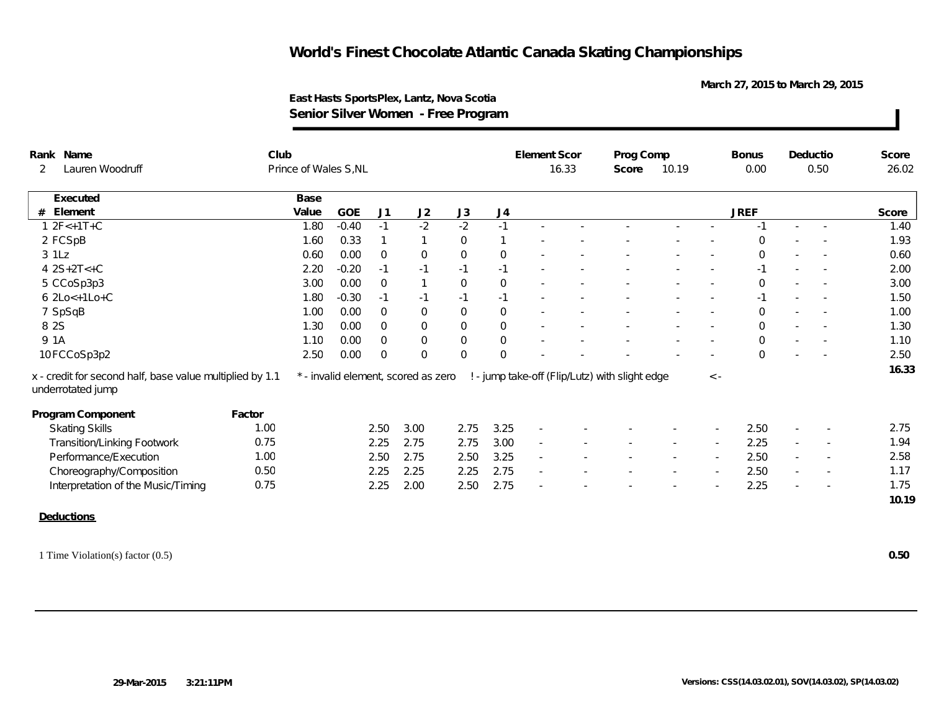**March 27, 2015 to March 29, 2015**

| Rank Name                                                                     | Club   |                       |            |                |                                     |             |                | <b>Element Scor</b>      |       | Prog Comp                                      |       |           | <b>Bonus</b>   |        | Deductio                 | Score |
|-------------------------------------------------------------------------------|--------|-----------------------|------------|----------------|-------------------------------------|-------------|----------------|--------------------------|-------|------------------------------------------------|-------|-----------|----------------|--------|--------------------------|-------|
| Lauren Woodruff<br>2                                                          |        | Prince of Wales S, NL |            |                |                                     |             |                |                          | 16.33 | Score                                          | 10.19 |           | 0.00           |        | 0.50                     | 26.02 |
| Executed                                                                      |        | Base                  |            |                |                                     |             |                |                          |       |                                                |       |           |                |        |                          |       |
| #<br>Element                                                                  |        | Value                 | <b>GOE</b> | J1             | J2                                  | J3          | J <sub>4</sub> |                          |       |                                                |       |           | <b>JREF</b>    |        |                          | Score |
| $12F<+1T+C$                                                                   |        | 1.80                  | $-0.40$    | $-1$           | $-2$                                | $-2$        | $-1$           |                          |       |                                                |       |           | $-1$           |        |                          | 1.40  |
| 2 FCSpB                                                                       |        | 1.60                  | 0.33       | $\mathbf{1}$   | $\mathbf{1}$                        | $\mathbf 0$ |                |                          |       |                                                |       |           | $\Omega$       |        |                          | 1.93  |
| 3 1Lz                                                                         |        | 0.60                  | 0.00       | $\overline{0}$ | $\mathsf{O}\xspace$                 | $\mathbf 0$ | $\mathbf 0$    |                          |       |                                                |       |           | $\overline{0}$ |        |                          | 0.60  |
| $4 2S+2T<+C$                                                                  |        | 2.20                  | $-0.20$    | $-1$           | $-1$                                | $-1$        | $-1$           |                          |       |                                                |       |           | $-1$           |        |                          | 2.00  |
| 5 CCoSp3p3                                                                    |        | 3.00                  | 0.00       | $\overline{0}$ | $\mathbf{1}$                        | $\mathbf 0$ | $\mathbf 0$    |                          |       |                                                |       |           | $\mathbf 0$    |        |                          | 3.00  |
| $6$ 2Lo $< +1$ Lo $+C$                                                        |        | 1.80                  | $-0.30$    | $-1$           | $-1$                                | $-1$        | $-1$           |                          |       |                                                |       |           | $-1$           |        |                          | 1.50  |
| 7 SpSqB                                                                       |        | 1.00                  | 0.00       | $\overline{0}$ | $\mathsf{O}\xspace$                 | $\mathbf 0$ | $\mathbf 0$    |                          |       |                                                |       |           | $\Omega$       |        |                          | 1.00  |
| 8 2 S                                                                         |        | 1.30                  | 0.00       | $\overline{0}$ | $\mathbf 0$                         | $\mathbf 0$ | $\mathbf 0$    |                          |       |                                                |       |           | $\Omega$       |        |                          | 1.30  |
| 9 1A                                                                          |        | 1.10                  | 0.00       | $\overline{0}$ | $\mathsf{O}\xspace$                 | $\mathbf 0$ | $\mathbf 0$    |                          |       |                                                |       |           | $\overline{0}$ |        |                          | 1.10  |
| 10FCCoSp3p2                                                                   |        | 2.50                  | 0.00       | $\overline{0}$ | $\overline{0}$                      | $\mathbf 0$ | $\mathbf{0}$   |                          |       |                                                |       |           | $\Omega$       |        |                          | 2.50  |
| x - credit for second half, base value multiplied by 1.1<br>underrotated jump |        |                       |            |                | * - invalid element, scored as zero |             |                |                          |       | ! - jump take-off (Flip/Lutz) with slight edge |       | $\,<\,$ - |                |        |                          | 16.33 |
| Program Component                                                             | Factor |                       |            |                |                                     |             |                |                          |       |                                                |       |           |                |        |                          |       |
| <b>Skating Skills</b>                                                         | 1.00   |                       |            | 2.50           | 3.00                                | 2.75        | 3.25           | $\sim$                   |       |                                                |       |           | 2.50           |        |                          | 2.75  |
| Transition/Linking Footwork                                                   | 0.75   |                       |            | 2.25           | 2.75                                | 2.75        | $3.00\,$       | $\overline{\phantom{a}}$ |       |                                                |       |           | 2.25           | $\sim$ |                          | 1.94  |
| Performance/Execution                                                         | 1.00   |                       |            | 2.50           | 2.75                                | 2.50        | 3.25           | $\overline{\phantom{a}}$ |       |                                                |       |           | 2.50           | $\sim$ | $\overline{\phantom{a}}$ | 2.58  |
| Choreography/Composition                                                      | 0.50   |                       |            | 2.25           | 2.25                                | 2.25        | 2.75           |                          |       |                                                |       |           | 2.50           | $\sim$ | $\overline{\phantom{a}}$ | 1.17  |
| Interpretation of the Music/Timing                                            | 0.75   |                       |            | 2.25           | 2.00                                | 2.50        | 2.75           |                          |       |                                                |       |           | 2.25           |        |                          | 1.75  |
|                                                                               |        |                       |            |                |                                     |             |                |                          |       |                                                |       |           |                |        |                          | 10.19 |
| Deductions                                                                    |        |                       |            |                |                                     |             |                |                          |       |                                                |       |           |                |        |                          |       |
| 1 Time Violation(s) factor (0.5)                                              |        |                       |            |                |                                     |             |                |                          |       |                                                |       |           |                |        |                          | 0.50  |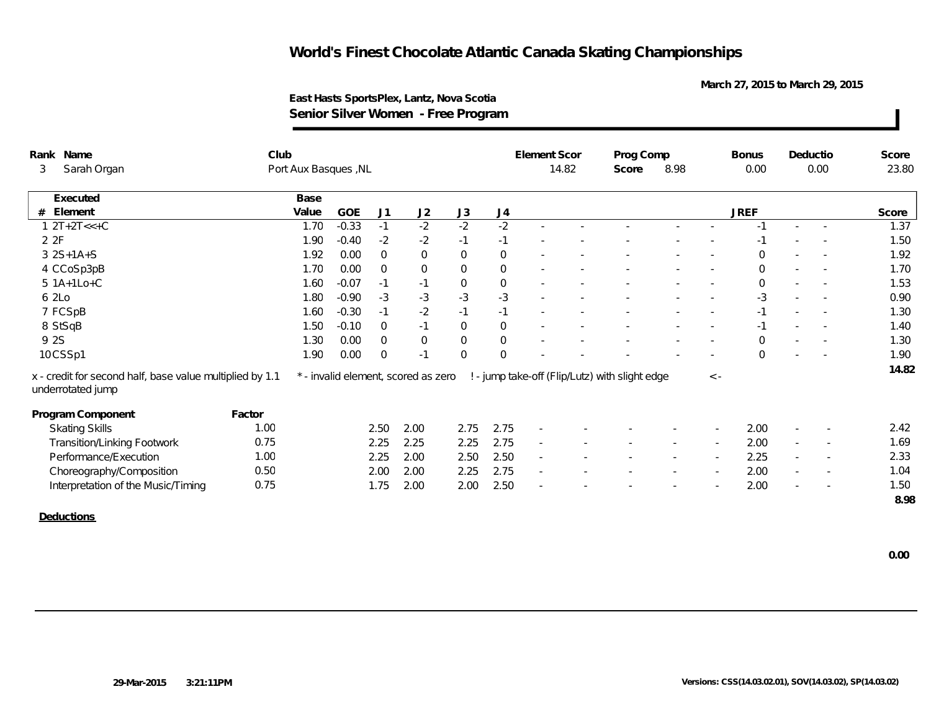**March 27, 2015 to March 29, 2015**

#### **East Hasts SportsPlex, Lantz, Nova Scotia Senior Silver Women - Free Program**

| Rank Name                                                                     | Club   |                      |            |                |                                     |                     |             | Element Scor             |       | Prog Comp                                      |        |                          | <b>Bonus</b> | Deductio                 |        | Score |
|-------------------------------------------------------------------------------|--------|----------------------|------------|----------------|-------------------------------------|---------------------|-------------|--------------------------|-------|------------------------------------------------|--------|--------------------------|--------------|--------------------------|--------|-------|
| Sarah Organ<br>3                                                              |        | Port Aux Basques, NL |            |                |                                     |                     |             |                          | 14.82 | Score                                          | 8.98   |                          | 0.00         |                          | 0.00   | 23.80 |
| Executed                                                                      |        | Base                 |            |                |                                     |                     |             |                          |       |                                                |        |                          |              |                          |        |       |
| $#$ Element                                                                   |        | Value                | <b>GOE</b> | J <sub>1</sub> | J2                                  | J3                  | J4          |                          |       |                                                |        |                          | <b>JREF</b>  |                          |        | Score |
| $12T+2T<<+C$                                                                  |        | 1.70                 | $-0.33$    | $-1$           | $-2$                                | $-2$                | $-2$        |                          |       |                                                |        |                          | $-1$         |                          |        | 1.37  |
| 2 2F                                                                          |        | 1.90                 | $-0.40$    | $-2$           | $-2$                                | $-1$                | $-1$        |                          |       |                                                |        |                          |              |                          |        | 1.50  |
| $3 2S+1A+S$                                                                   |        | 1.92                 | 0.00       | $\mathbf 0$    | $\mathbf 0$                         | $\mathbf 0$         | $\mathbf 0$ |                          |       |                                                |        |                          | $\mathbf 0$  | $\overline{\phantom{a}}$ |        | 1.92  |
| 4 CCoSp3pB                                                                    |        | 1.70                 | 0.00       | $\overline{0}$ | $\mathsf{O}$                        | $\mathsf{O}\xspace$ | $\mathbf 0$ |                          |       |                                                |        |                          | $\mathbf 0$  | $\overline{\phantom{a}}$ |        | 1.70  |
| 5 1A+1Lo+C                                                                    |        | 1.60                 | $-0.07$    | $-1$           | $-1$                                | $\mathbf 0$         | $\mathbf 0$ |                          |       |                                                |        |                          | $\mathbf 0$  | $\overline{\phantom{a}}$ |        | 1.53  |
| 6 2Lo                                                                         |        | 1.80                 | $-0.90$    | $-3$           | $-3$                                | $-3$                | $-3$        |                          |       |                                                |        |                          | -3           |                          |        | 0.90  |
| 7 FCSpB                                                                       |        | 1.60                 | $-0.30$    | $-1$           | $-2$                                | $-1$                | $-1$        |                          |       |                                                |        |                          | $-1$         |                          |        | 1.30  |
| 8 StSqB                                                                       |        | 1.50                 | $-0.10$    | $\mathbf 0$    | $-1$                                | $\overline{0}$      | $\,0\,$     |                          |       |                                                |        |                          | $-1$         | $\overline{\phantom{a}}$ |        | 1.40  |
| 9 2S                                                                          |        | 1.30                 | 0.00       | $\overline{0}$ | $\mathbf 0$                         | $\boldsymbol{0}$    | $\mathbf 0$ |                          |       |                                                |        |                          | $\Omega$     | $\overline{\phantom{a}}$ |        | 1.30  |
| 10CSSp1                                                                       |        | 1.90                 | 0.00       | $\mathbf 0$    | $-1$                                | $\mathbf 0$         | $\Omega$    |                          |       |                                                |        |                          | $\Omega$     |                          |        | 1.90  |
| x - credit for second half, base value multiplied by 1.1<br>underrotated jump |        |                      |            |                | * - invalid element, scored as zero |                     |             |                          |       | ! - jump take-off (Flip/Lutz) with slight edge |        | $\langle$ -              |              |                          |        | 14.82 |
| Program Component                                                             | Factor |                      |            |                |                                     |                     |             |                          |       |                                                |        |                          |              |                          |        |       |
| <b>Skating Skills</b>                                                         | 1.00   |                      |            | 2.50           | 2.00                                | 2.75                | 2.75        | $\sim$                   |       |                                                |        |                          | 2.00         |                          |        | 2.42  |
| Transition/Linking Footwork                                                   | 0.75   |                      |            | 2.25           | 2.25                                | 2.25                | 2.75        | $\overline{\phantom{a}}$ |       |                                                |        |                          | 2.00         | $\overline{\phantom{a}}$ |        | 1.69  |
| Performance/Execution                                                         | 1.00   |                      |            | 2.25           | 2.00                                | 2.50                | 2.50        | $\sim$                   |       |                                                | $\sim$ | $\overline{\phantom{a}}$ | 2.25         | $\sim$                   | $\sim$ | 2.33  |
| Choreography/Composition                                                      | 0.50   |                      |            | 2.00           | 2.00                                | 2.25                | 2.75        | $\overline{\phantom{a}}$ |       |                                                |        | $\sim$                   | 2.00         | $\sim$                   |        | 1.04  |
| Interpretation of the Music/Timing                                            | 0.75   |                      |            | 1.75           | 2.00                                | 2.00                | 2.50        |                          |       |                                                |        |                          | 2.00         |                          |        | 1.50  |
|                                                                               |        |                      |            |                |                                     |                     |             |                          |       |                                                |        |                          |              |                          |        | 8.98  |
| Deductions                                                                    |        |                      |            |                |                                     |                     |             |                          |       |                                                |        |                          |              |                          |        |       |

 **0.00**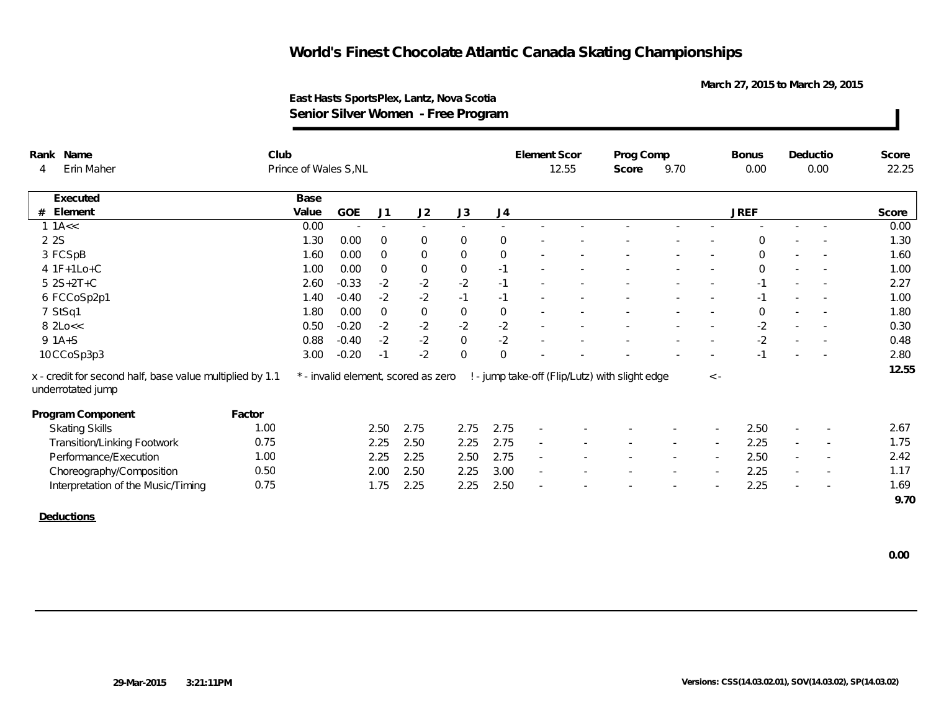**March 27, 2015 to March 29, 2015**

| Rank Name                                                                     | Club                  |         |                |                                     |             |                  | <b>Element Scor</b>      |       | Prog Comp                                      |                          |             | <b>Bonus</b> |                          | Deductio                 | Score |
|-------------------------------------------------------------------------------|-----------------------|---------|----------------|-------------------------------------|-------------|------------------|--------------------------|-------|------------------------------------------------|--------------------------|-------------|--------------|--------------------------|--------------------------|-------|
| Erin Maher<br>4                                                               | Prince of Wales S, NL |         |                |                                     |             |                  |                          | 12.55 | Score                                          | 9.70                     |             | 0.00         |                          | 0.00                     | 22.25 |
| Executed                                                                      | Base                  |         |                |                                     |             |                  |                          |       |                                                |                          |             |              |                          |                          |       |
| Element<br>#                                                                  | Value                 | GOE     | J1             | J2                                  | J3          | J <sub>4</sub>   |                          |       |                                                |                          |             | <b>JREF</b>  |                          |                          | Score |
| $1 \text{ 1A}<<$                                                              | 0.00                  | $\sim$  | $\sim$         | $\sim$                              | $\sim$      |                  |                          |       |                                                |                          |             |              |                          |                          | 0.00  |
| 2 2 S                                                                         | 1.30                  | 0.00    | $\overline{0}$ | $\mathbf 0$                         | $\mathbf 0$ | $\overline{0}$   |                          |       |                                                |                          |             | $\Omega$     |                          |                          | 1.30  |
| 3 FCSpB                                                                       | 1.60                  | 0.00    | $\overline{0}$ | $\mathbf 0$                         | $\mathbf 0$ | $\mathbf 0$      |                          |       |                                                |                          |             | $\mathbf 0$  |                          |                          | 1.60  |
| $4 1F+1Lo+C$                                                                  | 1.00                  | 0.00    | $\overline{0}$ | $\mathbf 0$                         | $\mathbf 0$ | $-1$             |                          |       |                                                |                          |             | $\Omega$     |                          |                          | 1.00  |
| $5 2S+2T+C$                                                                   | 2.60                  | $-0.33$ | $-2$           | $-2$                                | $-2$        | $-1$             |                          |       |                                                |                          |             | $-1$         |                          |                          | 2.27  |
| 6 FCCoSp2p1                                                                   | 1.40                  | $-0.40$ | $-2$           | $-2$                                | $-1$        | $-1$             |                          |       |                                                |                          |             | -1           |                          |                          | 1.00  |
| 7 StSq1                                                                       | 1.80                  | 0.00    | $\overline{0}$ | $\mathsf{O}\xspace$                 | $\,0\,$     | $\boldsymbol{0}$ |                          |       |                                                |                          |             | $\mathbf 0$  |                          |                          | 1.80  |
| $8$ 2Lo $<<$                                                                  | 0.50                  | $-0.20$ | $-2$           | $-2$                                | $-2$        | $-2$             |                          |       |                                                |                          |             | $-2$         | $\sim$                   |                          | 0.30  |
| $9$ 1A+S                                                                      | 0.88                  | $-0.40$ | $-2$           | $-2$                                | $\mathbf 0$ | $-2$             |                          |       |                                                |                          |             | $-2$         |                          |                          | 0.48  |
| 10CCoSp3p3                                                                    | 3.00                  | $-0.20$ | $-1$           | $-2$                                | $\mathbf 0$ | $\Omega$         |                          |       |                                                |                          |             |              |                          |                          | 2.80  |
| x - credit for second half, base value multiplied by 1.1<br>underrotated jump |                       |         |                | * - invalid element, scored as zero |             |                  |                          |       | ! - jump take-off (Flip/Lutz) with slight edge |                          | $\langle$ - |              |                          |                          | 12.55 |
| Program Component                                                             | Factor                |         |                |                                     |             |                  |                          |       |                                                |                          |             |              |                          |                          |       |
| <b>Skating Skills</b>                                                         | 1.00                  |         | 2.50           | 2.75                                | 2.75        | 2.75             |                          |       |                                                |                          |             | 2.50         |                          |                          | 2.67  |
| <b>Transition/Linking Footwork</b>                                            | 0.75                  |         | 2.25           | 2.50                                | 2.25        | 2.75             | $\overline{\phantom{a}}$ |       |                                                |                          |             | 2.25         | $\sim$                   | $\overline{\phantom{a}}$ | 1.75  |
| Performance/Execution                                                         | 1.00                  |         | 2.25           | 2.25                                | 2.50        | 2.75             | $\sim$                   |       |                                                | $\sim$                   |             | 2.50         | $\sim$                   | $\overline{\phantom{a}}$ | 2.42  |
| Choreography/Composition                                                      | 0.50                  |         | 2.00           | 2.50                                | 2.25        | 3.00             | $\overline{\phantom{a}}$ |       |                                                | $\overline{\phantom{a}}$ |             | 2.25         | $\overline{\phantom{a}}$ | $\overline{\phantom{a}}$ | 1.17  |
| Interpretation of the Music/Timing                                            | 0.75                  |         | 1.75           | 2.25                                | 2.25        | 2.50             |                          |       |                                                |                          |             | 2.25         |                          |                          | 1.69  |
|                                                                               |                       |         |                |                                     |             |                  |                          |       |                                                |                          |             |              |                          |                          | 9.70  |
| Deductions                                                                    |                       |         |                |                                     |             |                  |                          |       |                                                |                          |             |              |                          |                          |       |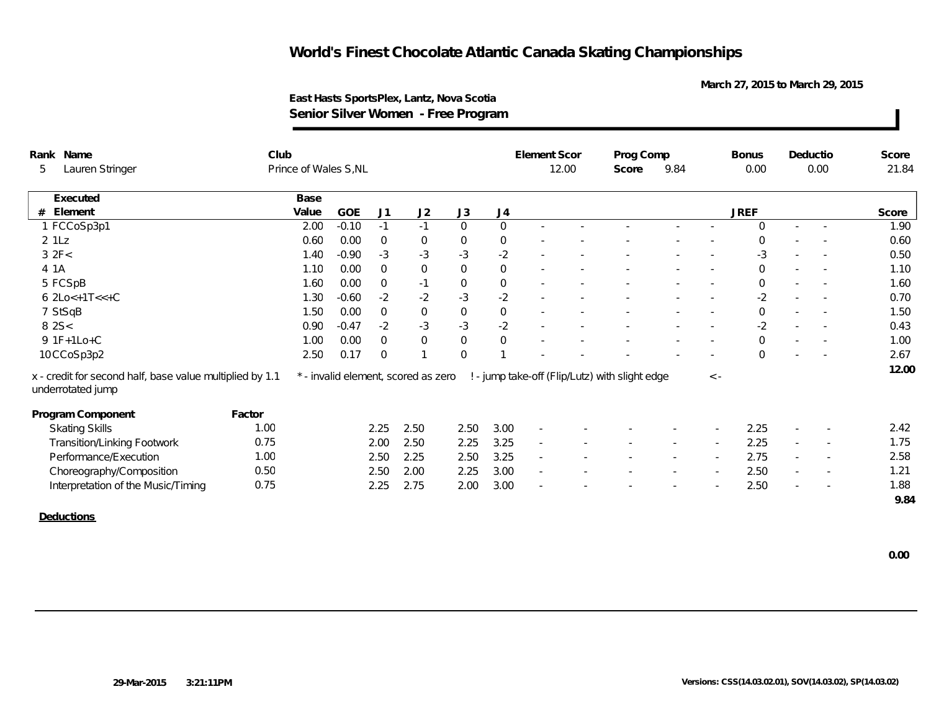**March 27, 2015 to March 29, 2015**

| Rank Name                                                                     | Club                  |         |                |                                     |             |                     | Element Scor             |       | Prog Comp                                      |        |             | <b>Bonus</b> |                          | Deductio                 | Score |
|-------------------------------------------------------------------------------|-----------------------|---------|----------------|-------------------------------------|-------------|---------------------|--------------------------|-------|------------------------------------------------|--------|-------------|--------------|--------------------------|--------------------------|-------|
| Lauren Stringer<br>5                                                          | Prince of Wales S, NL |         |                |                                     |             |                     |                          | 12.00 | Score                                          | 9.84   |             | 0.00         |                          | 0.00                     | 21.84 |
| Executed                                                                      | Base                  |         |                |                                     |             |                     |                          |       |                                                |        |             |              |                          |                          |       |
| Element<br>#                                                                  | Value                 | GOE     | J1             | J2                                  | J3          | J <sub>4</sub>      |                          |       |                                                |        |             | <b>JREF</b>  |                          |                          | Score |
| 1 FCCoSp3p1                                                                   | 2.00                  | $-0.10$ | $-1$           | $-1$                                | $\mathbf 0$ | $\Omega$            |                          |       |                                                |        |             | $\Omega$     | $\sim$                   | $\overline{\phantom{a}}$ | 1.90  |
| $2$ 1 Lz                                                                      | 0.60                  | 0.00    | $\overline{0}$ | $\mathbf 0$                         | $\mathbf 0$ | $\boldsymbol{0}$    |                          |       |                                                |        |             | $\Omega$     |                          |                          | 0.60  |
| 32F<                                                                          | 1.40                  | $-0.90$ | $-3$           | $-3$                                | $-3$        | $-2$                |                          |       |                                                |        |             | $-3$         |                          |                          | 0.50  |
| 4 1 A                                                                         | 1.10                  | 0.00    | $\Omega$       | $\mathbf 0$                         | $\mathbf 0$ | $\boldsymbol{0}$    |                          |       |                                                |        |             | $\mathbf 0$  |                          |                          | 1.10  |
| 5 FCSpB                                                                       | 1.60                  | 0.00    | $\mathbf 0$    | $-1$                                | $\mathbf 0$ | $\mathsf{O}\xspace$ |                          |       |                                                |        | $\sim$      | $\mathbf 0$  | $\sim$                   | $\sim$                   | 1.60  |
| $6 2Lo < +1T < +C$                                                            | 1.30                  | $-0.60$ | $-2$           | $-2$                                | $-3$        | $-2$                |                          |       |                                                |        |             | $-2$         |                          |                          | 0.70  |
| 7 StSqB                                                                       | 1.50                  | 0.00    | $\mathbf 0$    | $\mathbf 0$                         | $\,0\,$     | $\mathbf 0$         |                          |       |                                                |        |             | $\mathbf 0$  |                          |                          | 1.50  |
| 82S<                                                                          | 0.90                  | $-0.47$ | $-2$           | $-3$                                | $-3$        | $-2$                |                          |       |                                                |        |             | $-2$         | $\overline{\phantom{a}}$ |                          | 0.43  |
| $9$ 1F+1Lo+C                                                                  | 1.00                  | 0.00    | $\overline{0}$ | $\mathbf 0$                         | $\mathbf 0$ | $\mathbf 0$         |                          |       |                                                |        |             | $\mathbf 0$  | $\overline{\phantom{a}}$ |                          | 1.00  |
| 10CCoSp3p2                                                                    | 2.50                  | 0.17    | $\Omega$       | $\mathbf{1}$                        | $\mathbf 0$ | -1                  |                          |       |                                                |        |             | $\Omega$     |                          |                          | 2.67  |
| x - credit for second half, base value multiplied by 1.1<br>underrotated jump |                       |         |                | * - invalid element, scored as zero |             |                     |                          |       | ! - jump take-off (Flip/Lutz) with slight edge |        | $\langle$ - |              |                          |                          | 12.00 |
| Program Component<br>Factor                                                   |                       |         |                |                                     |             |                     |                          |       |                                                |        |             |              |                          |                          |       |
| <b>Skating Skills</b>                                                         | 1.00                  |         | 2.25           | 2.50                                | 2.50        | 3.00                | $\sim$                   |       |                                                |        |             | 2.25         | $\sim$                   |                          | 2.42  |
| <b>Transition/Linking Footwork</b>                                            | 0.75                  |         | 2.00           | 2.50                                | 2.25        | 3.25                | $\overline{\phantom{a}}$ |       |                                                |        |             | 2.25         | $\sim$                   | $\sim$                   | 1.75  |
| Performance/Execution                                                         | 1.00                  |         | 2.50           | 2.25                                | 2.50        | 3.25                | $\overline{\phantom{a}}$ |       |                                                | $\sim$ |             | 2.75         | $\sim$                   | $\overline{\phantom{a}}$ | 2.58  |
| Choreography/Composition                                                      | 0.50                  |         | 2.50           | 2.00                                | 2.25        | 3.00                | $\sim$                   |       |                                                | $\sim$ | $\sim$      | 2.50         | $\sim$                   | $\overline{\phantom{a}}$ | 1.21  |
| Interpretation of the Music/Timing                                            | 0.75                  |         | 2.25           | 2.75                                | 2.00        | 3.00                |                          |       |                                                |        |             | 2.50         |                          |                          | 1.88  |
|                                                                               |                       |         |                |                                     |             |                     |                          |       |                                                |        |             |              |                          |                          | 9.84  |
| Deductions                                                                    |                       |         |                |                                     |             |                     |                          |       |                                                |        |             |              |                          |                          |       |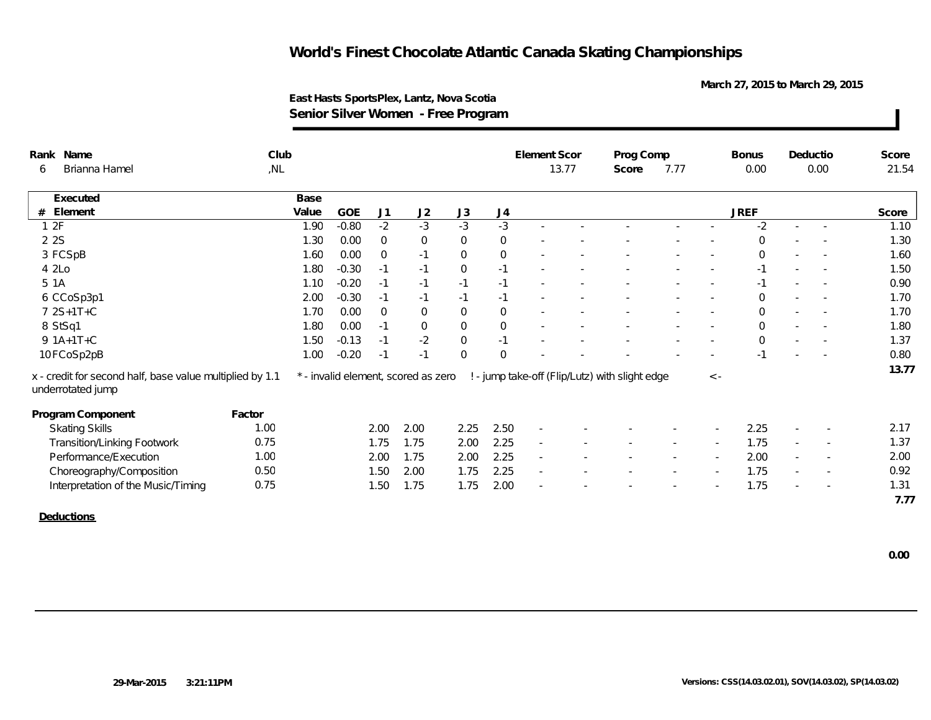**March 27, 2015 to March 29, 2015**

| Rank Name                                                                     | Club   |       |         |                |                                     |             |              | <b>Element Scor</b>      |       | Prog Comp                                      |        |                          | <b>Bonus</b> |                          | Deductio                 | Score |
|-------------------------------------------------------------------------------|--------|-------|---------|----------------|-------------------------------------|-------------|--------------|--------------------------|-------|------------------------------------------------|--------|--------------------------|--------------|--------------------------|--------------------------|-------|
| Brianna Hamel<br>6                                                            | ,NL    |       |         |                |                                     |             |              |                          | 13.77 | Score                                          | 7.77   |                          | 0.00         |                          | 0.00                     | 21.54 |
| Executed                                                                      |        | Base  |         |                |                                     |             |              |                          |       |                                                |        |                          |              |                          |                          |       |
| Element<br>#                                                                  |        | Value | GOE     | J1             | J2                                  | J3          | J4           |                          |       |                                                |        |                          | <b>JREF</b>  |                          |                          | Score |
| 12F                                                                           |        | 1.90  | $-0.80$ | $-2$           | $-3$                                | $-3$        | $-3$         |                          |       |                                                |        |                          | $-2$         |                          |                          | 1.10  |
| 2 2 S                                                                         |        | 1.30  | 0.00    | $\overline{0}$ | $\mathbf 0$                         | $\mathbf 0$ | $\mathbf 0$  |                          |       |                                                |        |                          | $\mathbf 0$  |                          |                          | 1.30  |
| 3 FCSpB                                                                       |        | 1.60  | 0.00    | $\overline{0}$ | $-1$                                | $\mathbf 0$ | $\mathbf 0$  |                          |       |                                                |        |                          | $\Omega$     | $\sim$                   | $\overline{\phantom{a}}$ | 1.60  |
| 4 2Lo                                                                         |        | 1.80  | $-0.30$ | $-1$           | $-1$                                | $\,0\,$     | $-1$         |                          |       |                                                |        |                          | $-1$         |                          |                          | 1.50  |
| 5 1A                                                                          |        | 1.10  | $-0.20$ | $-1$           | $-1$                                | $-1$        | $-1$         |                          |       |                                                |        |                          | $-1$         |                          |                          | 0.90  |
| 6 CCoSp3p1                                                                    |        | 2.00  | $-0.30$ | $-1$           | $-1$                                | $-1$        | $-1$         |                          |       |                                                |        |                          | $\Omega$     |                          |                          | 1.70  |
| 7 2S+1T+C                                                                     |        | 1.70  | 0.00    | $\overline{0}$ | $\overline{0}$                      | $\mathbf 0$ | $\mathbf{0}$ |                          |       |                                                |        |                          | $\mathbf 0$  |                          |                          | 1.70  |
| 8 StSq1                                                                       |        | 1.80  | 0.00    | $-1$           | $\mathbf 0$                         | $\mathbf 0$ | $\mathbf 0$  |                          |       |                                                |        | $\overline{\phantom{a}}$ | $\Omega$     | $\sim$                   | $\overline{\phantom{a}}$ | 1.80  |
| 9 1A+1T+C                                                                     |        | 1.50  | $-0.13$ | $-1$           | $-2$                                | $\mathbf 0$ | $-1$         |                          |       |                                                |        |                          | $\mathbf 0$  | $\overline{\phantom{a}}$ |                          | 1.37  |
| 10FCoSp2pB                                                                    |        | 1.00  | $-0.20$ | $-1$           | $-1$                                | $\mathbf 0$ | $\Omega$     |                          |       |                                                |        |                          |              |                          |                          | 0.80  |
| x - credit for second half, base value multiplied by 1.1<br>underrotated jump |        |       |         |                | * - invalid element, scored as zero |             |              |                          |       | ! - jump take-off (Flip/Lutz) with slight edge |        | $\langle$ -              |              |                          |                          | 13.77 |
| Program Component                                                             | Factor |       |         |                |                                     |             |              |                          |       |                                                |        |                          |              |                          |                          |       |
| <b>Skating Skills</b>                                                         | 1.00   |       |         | 2.00           | 2.00                                | 2.25        | 2.50         | $\sim$                   |       |                                                |        |                          | 2.25         |                          |                          | 2.17  |
| <b>Transition/Linking Footwork</b>                                            | 0.75   |       |         | 1.75           | 1.75                                | 2.00        | 2.25         | $\overline{\phantom{a}}$ |       |                                                |        |                          | 1.75         |                          | $\overline{\phantom{a}}$ | 1.37  |
| Performance/Execution                                                         | 1.00   |       |         | 2.00           | 1.75                                | 2.00        | 2.25         | $\sim$                   |       |                                                | $\sim$ |                          | 2.00         | $\sim$                   | $\sim$                   | 2.00  |
| Choreography/Composition                                                      | 0.50   |       |         | 1.50           | 2.00                                | 1.75        | 2.25         | $\overline{\phantom{a}}$ |       |                                                |        |                          | 1.75         | $\sim$                   |                          | 0.92  |
| Interpretation of the Music/Timing                                            | 0.75   |       |         | 1.50           | 1.75                                | 1.75        | 2.00         |                          |       |                                                |        |                          | 1.75         |                          |                          | 1.31  |
|                                                                               |        |       |         |                |                                     |             |              |                          |       |                                                |        |                          |              |                          |                          | 7.77  |
| Deductions                                                                    |        |       |         |                |                                     |             |              |                          |       |                                                |        |                          |              |                          |                          |       |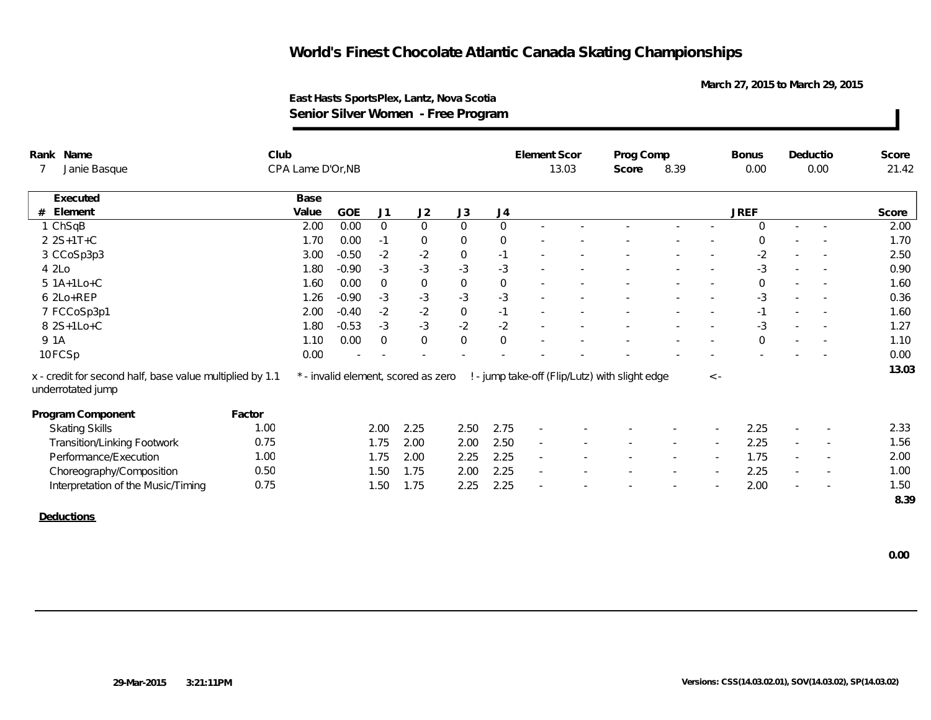**March 27, 2015 to March 29, 2015**

| Rank Name                                                                     | Club   |                   |         |                |                                     |                     |                | Element Scor |       | Prog Comp                                      |        |             | <b>Bonus</b> |        | Deductio                 | Score |
|-------------------------------------------------------------------------------|--------|-------------------|---------|----------------|-------------------------------------|---------------------|----------------|--------------|-------|------------------------------------------------|--------|-------------|--------------|--------|--------------------------|-------|
| Janie Basque                                                                  |        | CPA Lame D'Or, NB |         |                |                                     |                     |                |              | 13.03 | Score                                          | 8.39   |             | 0.00         |        | 0.00                     | 21.42 |
| Executed                                                                      |        | Base              |         |                |                                     |                     |                |              |       |                                                |        |             |              |        |                          |       |
| Element<br>#                                                                  |        | Value             | GOE     | J1             | J2                                  | J3                  | J4             |              |       |                                                |        |             | <b>JREF</b>  |        |                          | Score |
| 1 ChSqB                                                                       |        | 2.00              | 0.00    | $\mathbf 0$    | $\overline{0}$                      | $\mathbf{0}$        | $\overline{0}$ |              |       |                                                |        |             | $\mathbf 0$  | $\sim$ | $\sim$                   | 2.00  |
| $2 2S+1T+C$                                                                   |        | 1.70              | 0.00    | $-1$           | $\mathbf 0$                         | $\mathbf 0$         | $\overline{0}$ |              |       |                                                |        |             | $\Omega$     |        |                          | 1.70  |
| 3 CCoSp3p3                                                                    |        | 3.00              | $-0.50$ | $-2$           | $-2$                                | $\mathsf{O}\xspace$ | $-1$           |              |       |                                                |        |             | $-2$         |        |                          | 2.50  |
| 4 2Lo                                                                         |        | 1.80              | $-0.90$ | $-3$           | $-3$                                | $-3$                | $-3$           |              |       |                                                |        |             | $-3$         | $\sim$ |                          | 0.90  |
| 5 1A+1Lo+C                                                                    |        | 1.60              | 0.00    | $\overline{0}$ | $\overline{0}$                      | $\overline{0}$      | $\mathbf 0$    |              |       |                                                |        |             | $\mathbf{0}$ | $\sim$ |                          | 1.60  |
| 6 2Lo+REP                                                                     |        | 1.26              | $-0.90$ | $-3$           | $-3$                                | $-3$                | $-3$           |              |       |                                                |        |             | $-3$         |        |                          | 0.36  |
| 7 FCCoSp3p1                                                                   |        | 2.00              | $-0.40$ | $-2$           | $-2$                                | $\mathbf 0$         | $-1$           |              |       |                                                |        |             | $-1$         |        | $\sim$                   | 1.60  |
| 8 2S+1Lo+C                                                                    |        | 1.80              | $-0.53$ | $-3$           | $-3$                                | $-2$                | $-2$           |              |       |                                                |        |             | $-3$         | $\sim$ | $\sim$                   | 1.27  |
| 9 1A                                                                          |        | 1.10              | 0.00    | $\overline{0}$ | $\boldsymbol{0}$                    | $\boldsymbol{0}$    | $\mathbf 0$    |              |       |                                                |        |             | $\Omega$     | $\sim$ |                          | 1.10  |
| 10FCSp                                                                        |        | 0.00              |         |                |                                     |                     |                |              |       |                                                |        |             |              |        |                          | 0.00  |
| x - credit for second half, base value multiplied by 1.1<br>underrotated jump |        |                   |         |                | * - invalid element, scored as zero |                     |                |              |       | ! - jump take-off (Flip/Lutz) with slight edge |        | $\langle$ - |              |        |                          | 13.03 |
| Program Component                                                             | Factor |                   |         |                |                                     |                     |                |              |       |                                                |        |             |              |        |                          |       |
| <b>Skating Skills</b>                                                         | 1.00   |                   |         | 2.00           | 2.25                                | 2.50                | 2.75           |              |       |                                                |        |             | 2.25         |        |                          | 2.33  |
| <b>Transition/Linking Footwork</b>                                            | 0.75   |                   |         | 1.75           | 2.00                                | 2.00                | 2.50           | $\sim$       |       |                                                |        |             | 2.25         |        |                          | 1.56  |
| Performance/Execution                                                         | 1.00   |                   |         | 1.75           | 2.00                                | 2.25                | 2.25           | $\sim$       |       |                                                | $\sim$ | $\sim$      | 1.75         | $\sim$ | $\overline{\phantom{a}}$ | 2.00  |
| Choreography/Composition                                                      | 0.50   |                   |         | 1.50           | 1.75                                | 2.00                | 2.25           | $\sim$       |       |                                                |        |             | 2.25         |        | $\overline{\phantom{a}}$ | 1.00  |
| Interpretation of the Music/Timing                                            | 0.75   |                   |         | 1.50           | 1.75                                | 2.25                | 2.25           |              |       |                                                |        |             | 2.00         |        |                          | 1.50  |
|                                                                               |        |                   |         |                |                                     |                     |                |              |       |                                                |        |             |              |        |                          | 8.39  |
| Deductions                                                                    |        |                   |         |                |                                     |                     |                |              |       |                                                |        |             |              |        |                          |       |